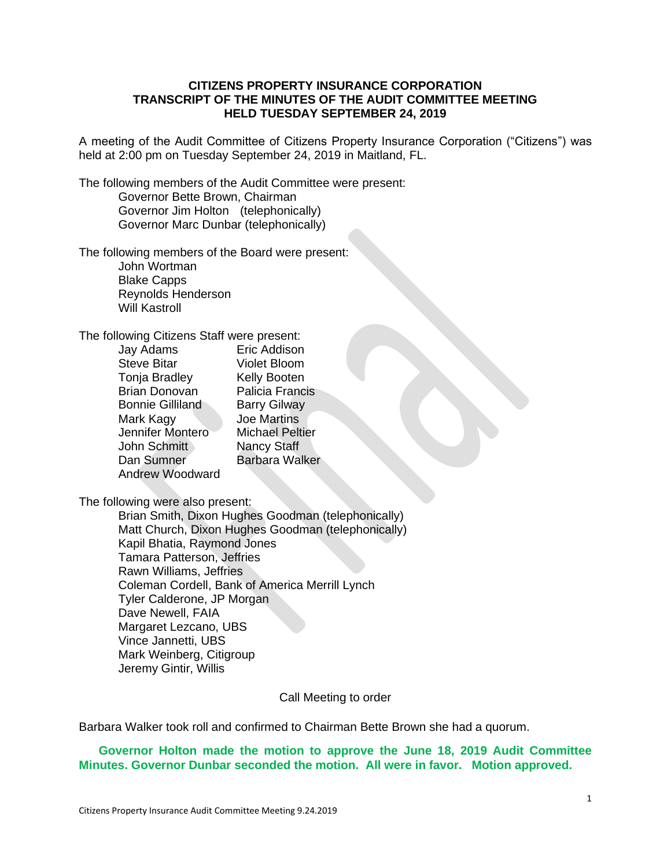## **CITIZENS PROPERTY INSURANCE CORPORATION TRANSCRIPT OF THE MINUTES OF THE AUDIT COMMITTEE MEETING HELD TUESDAY SEPTEMBER 24, 2019**

A meeting of the Audit Committee of Citizens Property Insurance Corporation ("Citizens") was held at 2:00 pm on Tuesday September 24, 2019 in Maitland, FL.

The following members of the Audit Committee were present: Governor Bette Brown, Chairman Governor Jim Holton (telephonically) Governor Marc Dunbar (telephonically)

### The following members of the Board were present:

John Wortman Blake Capps Reynolds Henderson Will Kastroll

#### The following Citizens Staff were present:

| Jay Adams               | Eric Addison           |
|-------------------------|------------------------|
| <b>Steve Bitar</b>      | <b>Violet Bloom</b>    |
| Tonja Bradley           | Kelly Booten           |
| <b>Brian Donovan</b>    | Palicia Francis        |
| <b>Bonnie Gilliland</b> | <b>Barry Gilway</b>    |
| Mark Kagy               | <b>Joe Martins</b>     |
| Jennifer Montero        | <b>Michael Peltier</b> |
| John Schmitt            | <b>Nancy Staff</b>     |
| Dan Sumner              | <b>Barbara Walker</b>  |
| <b>Andrew Woodward</b>  |                        |

The following were also present:

Brian Smith, Dixon Hughes Goodman (telephonically) Matt Church, Dixon Hughes Goodman (telephonically) Kapil Bhatia, Raymond Jones Tamara Patterson, Jeffries Rawn Williams, Jeffries Coleman Cordell, Bank of America Merrill Lynch Tyler Calderone, JP Morgan Dave Newell, FAIA Margaret Lezcano, UBS Vince Jannetti, UBS Mark Weinberg, Citigroup Jeremy Gintir, Willis

Call Meeting to order

Barbara Walker took roll and confirmed to Chairman Bette Brown she had a quorum.

# **Governor Holton made the motion to approve the June 18, 2019 Audit Committee Minutes. Governor Dunbar seconded the motion. All were in favor. Motion approved.**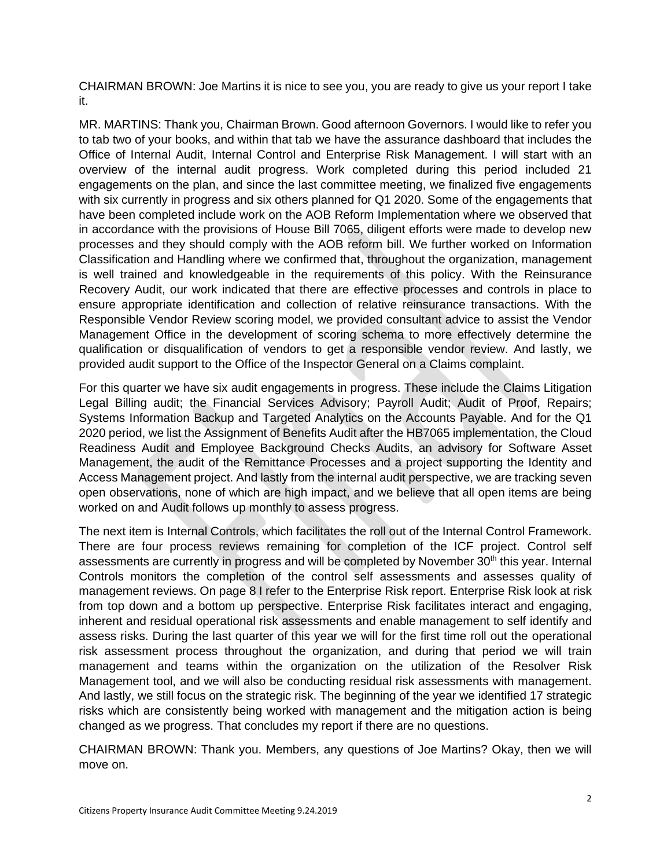CHAIRMAN BROWN: Joe Martins it is nice to see you, you are ready to give us your report I take it.

MR. MARTINS: Thank you, Chairman Brown. Good afternoon Governors. I would like to refer you to tab two of your books, and within that tab we have the assurance dashboard that includes the Office of Internal Audit, Internal Control and Enterprise Risk Management. I will start with an overview of the internal audit progress. Work completed during this period included 21 engagements on the plan, and since the last committee meeting, we finalized five engagements with six currently in progress and six others planned for Q1 2020. Some of the engagements that have been completed include work on the AOB Reform Implementation where we observed that in accordance with the provisions of House Bill 7065, diligent efforts were made to develop new processes and they should comply with the AOB reform bill. We further worked on Information Classification and Handling where we confirmed that, throughout the organization, management is well trained and knowledgeable in the requirements of this policy. With the Reinsurance Recovery Audit, our work indicated that there are effective processes and controls in place to ensure appropriate identification and collection of relative reinsurance transactions. With the Responsible Vendor Review scoring model, we provided consultant advice to assist the Vendor Management Office in the development of scoring schema to more effectively determine the qualification or disqualification of vendors to get a responsible vendor review. And lastly, we provided audit support to the Office of the Inspector General on a Claims complaint.

For this quarter we have six audit engagements in progress. These include the Claims Litigation Legal Billing audit; the Financial Services Advisory; Payroll Audit; Audit of Proof, Repairs; Systems Information Backup and Targeted Analytics on the Accounts Payable. And for the Q1 2020 period, we list the Assignment of Benefits Audit after the HB7065 implementation, the Cloud Readiness Audit and Employee Background Checks Audits, an advisory for Software Asset Management, the audit of the Remittance Processes and a project supporting the Identity and Access Management project. And lastly from the internal audit perspective, we are tracking seven open observations, none of which are high impact, and we believe that all open items are being worked on and Audit follows up monthly to assess progress.

The next item is Internal Controls, which facilitates the roll out of the Internal Control Framework. There are four process reviews remaining for completion of the ICF project. Control self assessments are currently in progress and will be completed by November 30<sup>th</sup> this year. Internal Controls monitors the completion of the control self assessments and assesses quality of management reviews. On page 8 I refer to the Enterprise Risk report. Enterprise Risk look at risk from top down and a bottom up perspective. Enterprise Risk facilitates interact and engaging, inherent and residual operational risk assessments and enable management to self identify and assess risks. During the last quarter of this year we will for the first time roll out the operational risk assessment process throughout the organization, and during that period we will train management and teams within the organization on the utilization of the Resolver Risk Management tool, and we will also be conducting residual risk assessments with management. And lastly, we still focus on the strategic risk. The beginning of the year we identified 17 strategic risks which are consistently being worked with management and the mitigation action is being changed as we progress. That concludes my report if there are no questions.

CHAIRMAN BROWN: Thank you. Members, any questions of Joe Martins? Okay, then we will move on.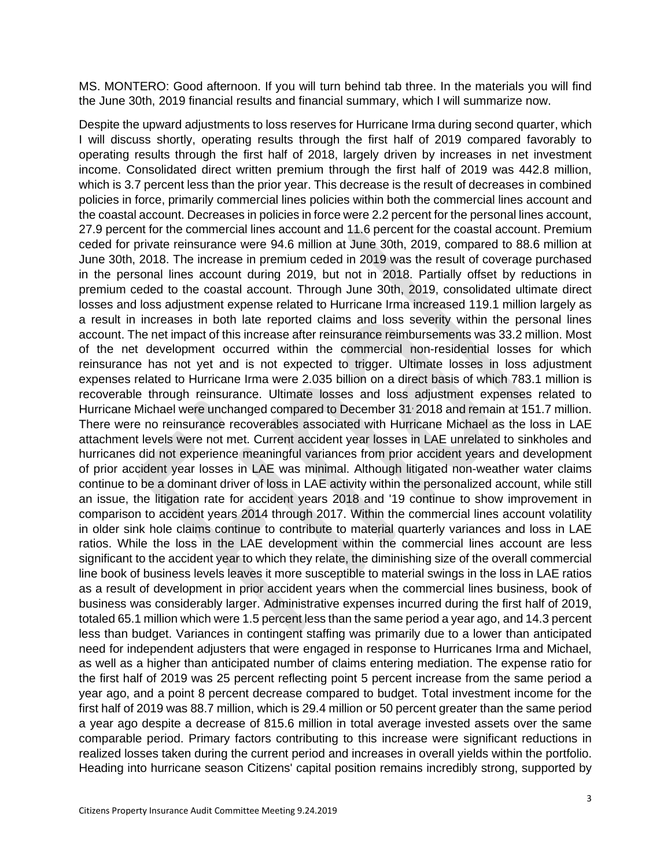MS. MONTERO: Good afternoon. If you will turn behind tab three. In the materials you will find the June 30th, 2019 financial results and financial summary, which I will summarize now.

Despite the upward adjustments to loss reserves for Hurricane Irma during second quarter, which I will discuss shortly, operating results through the first half of 2019 compared favorably to operating results through the first half of 2018, largely driven by increases in net investment income. Consolidated direct written premium through the first half of 2019 was 442.8 million, which is 3.7 percent less than the prior year. This decrease is the result of decreases in combined policies in force, primarily commercial lines policies within both the commercial lines account and the coastal account. Decreases in policies in force were 2.2 percent for the personal lines account, 27.9 percent for the commercial lines account and 11.6 percent for the coastal account. Premium ceded for private reinsurance were 94.6 million at June 30th, 2019, compared to 88.6 million at June 30th, 2018. The increase in premium ceded in 2019 was the result of coverage purchased in the personal lines account during 2019, but not in 2018. Partially offset by reductions in premium ceded to the coastal account. Through June 30th, 2019, consolidated ultimate direct losses and loss adjustment expense related to Hurricane Irma increased 119.1 million largely as a result in increases in both late reported claims and loss severity within the personal lines account. The net impact of this increase after reinsurance reimbursements was 33.2 million. Most of the net development occurred within the commercial non-residential losses for which reinsurance has not yet and is not expected to trigger. Ultimate losses in loss adjustment expenses related to Hurricane Irma were 2.035 billion on a direct basis of which 783.1 million is recoverable through reinsurance. Ultimate losses and loss adjustment expenses related to Hurricane Michael were unchanged compared to December 31, 2018 and remain at 151.7 million. There were no reinsurance recoverables associated with Hurricane Michael as the loss in LAE attachment levels were not met. Current accident year losses in LAE unrelated to sinkholes and hurricanes did not experience meaningful variances from prior accident years and development of prior accident year losses in LAE was minimal. Although litigated non-weather water claims continue to be a dominant driver of loss in LAE activity within the personalized account, while still an issue, the litigation rate for accident years 2018 and '19 continue to show improvement in comparison to accident years 2014 through 2017. Within the commercial lines account volatility in older sink hole claims continue to contribute to material quarterly variances and loss in LAE ratios. While the loss in the LAE development within the commercial lines account are less significant to the accident year to which they relate, the diminishing size of the overall commercial line book of business levels leaves it more susceptible to material swings in the loss in LAE ratios as a result of development in prior accident years when the commercial lines business, book of business was considerably larger. Administrative expenses incurred during the first half of 2019, totaled 65.1 million which were 1.5 percent less than the same period a year ago, and 14.3 percent less than budget. Variances in contingent staffing was primarily due to a lower than anticipated need for independent adjusters that were engaged in response to Hurricanes Irma and Michael, as well as a higher than anticipated number of claims entering mediation. The expense ratio for the first half of 2019 was 25 percent reflecting point 5 percent increase from the same period a year ago, and a point 8 percent decrease compared to budget. Total investment income for the first half of 2019 was 88.7 million, which is 29.4 million or 50 percent greater than the same period a year ago despite a decrease of 815.6 million in total average invested assets over the same comparable period. Primary factors contributing to this increase were significant reductions in realized losses taken during the current period and increases in overall yields within the portfolio. Heading into hurricane season Citizens' capital position remains incredibly strong, supported by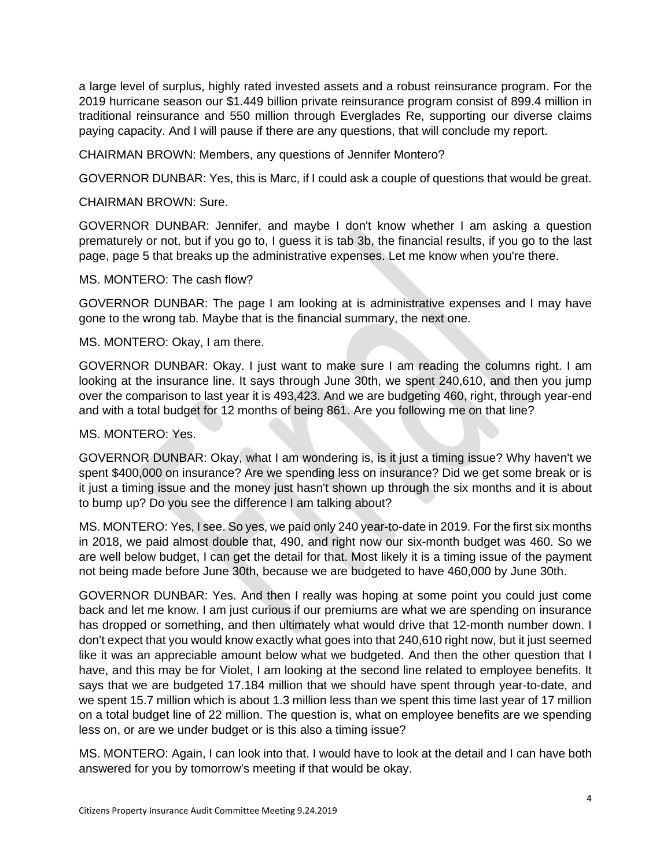a large level of surplus, highly rated invested assets and a robust reinsurance program. For the 2019 hurricane season our \$1.449 billion private reinsurance program consist of 899.4 million in traditional reinsurance and 550 million through Everglades Re, supporting our diverse claims paying capacity. And I will pause if there are any questions, that will conclude my report.

CHAIRMAN BROWN: Members, any questions of Jennifer Montero?

GOVERNOR DUNBAR: Yes, this is Marc, if I could ask a couple of questions that would be great.

CHAIRMAN BROWN: Sure.

GOVERNOR DUNBAR: Jennifer, and maybe I don't know whether I am asking a question prematurely or not, but if you go to, I guess it is tab 3b, the financial results, if you go to the last page, page 5 that breaks up the administrative expenses. Let me know when you're there.

MS. MONTERO: The cash flow?

GOVERNOR DUNBAR: The page I am looking at is administrative expenses and I may have gone to the wrong tab. Maybe that is the financial summary, the next one.

MS. MONTERO: Okay, I am there.

GOVERNOR DUNBAR: Okay. I just want to make sure I am reading the columns right. I am looking at the insurance line. It says through June 30th, we spent 240,610, and then you jump over the comparison to last year it is 493,423. And we are budgeting 460, right, through year-end and with a total budget for 12 months of being 861. Are you following me on that line?

## MS. MONTERO: Yes.

GOVERNOR DUNBAR: Okay, what I am wondering is, is it just a timing issue? Why haven't we spent \$400,000 on insurance? Are we spending less on insurance? Did we get some break or is it just a timing issue and the money just hasn't shown up through the six months and it is about to bump up? Do you see the difference I am talking about?

MS. MONTERO: Yes, I see. So yes, we paid only 240 year-to-date in 2019. For the first six months in 2018, we paid almost double that, 490, and right now our six-month budget was 460. So we are well below budget, I can get the detail for that. Most likely it is a timing issue of the payment not being made before June 30th, because we are budgeted to have 460,000 by June 30th.

GOVERNOR DUNBAR: Yes. And then I really was hoping at some point you could just come back and let me know. I am just curious if our premiums are what we are spending on insurance has dropped or something, and then ultimately what would drive that 12-month number down. I don't expect that you would know exactly what goes into that 240,610 right now, but it just seemed like it was an appreciable amount below what we budgeted. And then the other question that I have, and this may be for Violet, I am looking at the second line related to employee benefits. It says that we are budgeted 17.184 million that we should have spent through year-to-date, and we spent 15.7 million which is about 1.3 million less than we spent this time last year of 17 million on a total budget line of 22 million. The question is, what on employee benefits are we spending less on, or are we under budget or is this also a timing issue?

MS. MONTERO: Again, I can look into that. I would have to look at the detail and I can have both answered for you by tomorrow's meeting if that would be okay.